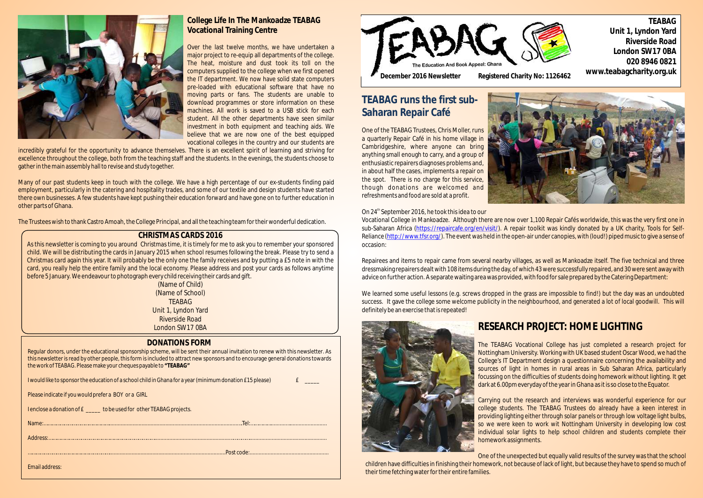

### **DONATIONS FORM**

| Regular donors, under the educational sponsorship scheme, will be sent their annual invitation to renew with this newsletter. As<br>this newsletter is read by other people, this form is included to attract new sponsors and to encourage general donations towards<br>the work of TEABAG. Please make your cheques payable to "TEABAG" |
|-------------------------------------------------------------------------------------------------------------------------------------------------------------------------------------------------------------------------------------------------------------------------------------------------------------------------------------------|
| I would like to sponsor the education of a school child in Ghana for a year (minimum donation £15 please)<br>$f$ and $f$                                                                                                                                                                                                                  |
| Please indicate if you would prefer a BOY or a GIRL                                                                                                                                                                                                                                                                                       |
| I enclose a donation of £ _____ to be used for other TEABAG projects.                                                                                                                                                                                                                                                                     |
|                                                                                                                                                                                                                                                                                                                                           |
|                                                                                                                                                                                                                                                                                                                                           |
|                                                                                                                                                                                                                                                                                                                                           |
| Email address:                                                                                                                                                                                                                                                                                                                            |

As this newsletter is coming to you around Christmas time, it is timely for me to ask you to remember your sponsored child. We will be distributing the cards in January 2015 when school resumes following the break. Please try to send a Christmas card again this year. It will probably be the only one the family receives and by putting a £5 note in with the card, you really help the entire family and the local economy. Please address and post your cards as follows anytime before 5 January. We endeavour to photograph every child receiving their cards and gift.



### **CHRISTMAS CARDS 2016**

(Name of Child) (Name of School) TEABAG Unit 1, Lyndon Yard Riverside Road London SW17 0BA

# **TEABAG runs the first sub-Saharan Repair Café**

One of the TEABAG Trustees, Chris Moller, runs a quarterly Repair Café in his home village in Cambridgeshire, where anyone can bring anything small enough to carry, and a group of enthusiastic repairers diagnoses problems and, in about half the cases, implements a repair on the spot. There is no charge for this service, though donations are welcomed and refreshments and food are sold at a profit.



#### On 24<sup>th</sup> September 2016, he took this idea to our

Vocational College in Mankoadze. Although there are now over 1,100 Repair Cafés worldwide, this was the very first one in sub-Saharan Africa (https://repaircafe.org/en/visit/). A repair toolkit was kindly donated by a UK charity, Tools for Self-Reliance (<u>http://www.tfsr.org/</u>). The event was held in the open-air under canopies, with (loud!) piped music to give a sense of occasion:

Repairees and items to repair came from several nearby villages, as well as Mankoadze itself. The five technical and three dressmaking repairers dealt with 108 items during the day, of which 43 were successfully repaired, and 30 were sent away with advice on further action. A separate waiting area was provided, with food for sale prepared by the Catering Department:

We learned some useful lessons (e.g. screws dropped in the grass are impossible to find!) but the day was an undoubted success. It gave the college some welcome publicity in the neighbourhood, and generated a lot of local goodwill. This will definitely be an exercise that is repeated!



# **RESEARCH PROJECT: HOME LIGHTING**

The TEABAG Vocational College has just completed a research project for Nottingham University. Working with UK based student Oscar Wood, we had the College's IT Department design a questionnaire concerning the availability and sources of light in homes in rural areas in Sub Saharan Africa, particularly focussing on the difficulties of students doing homework without lighting. It get dark at 6.00pm everyday of the year in Ghana as it is so close to the Equator.

Carrying out the research and interviews was wonderful experience for our college students. The TEABAG Trustees do already have a keen interest in providing lighting either through solar panels or through low voltage light bulbs, so we were keen to work wit Nottingham University in developing low cost individual solar lights to help school children and students complete their homework assignments.

One of the unexpected but equally valid results of the survey was that the school children have difficulties in finishing their homework, not because of lack of light, but because they have to spend so much of

their time fetching water for their entire families.



### **College Life In The Mankoadze TEABAG Vocational Training Centre**

Over the last twelve months, we have undertaken a major project to re-equip all departments of the college. The heat, moisture and dust took its toll on the computers supplied to the college when we first opened the IT department. We now have solid state computers pre-loaded with educational software that have no moving parts or fans. The students are unable to download programmes or store information on these machines. All work is saved to a USB stick for each student. All the other departments have seen similar investment in both equipment and teaching aids. We believe that we are now one of the best equipped vocational colleges in the country and our students are

incredibly grateful for the opportunity to advance themselves. There is an excellent spirit of learning and striving for excellence throughout the college, both from the teaching staff and the students. In the evenings, the students choose to gather in the main assembly hall to revise and study together.

Many of our past students keep in touch with the college. We have a high percentage of our ex-students finding paid employment, particularly in the catering and hospitality trades, and some of our textile and design students have started there own businesses. A few students have kept pushing their education forward and have gone on to further education in other parts of Ghana.

The Trustees wish to thank Castro Amoah, the College Principal, and all the teaching team for their wonderful dedication.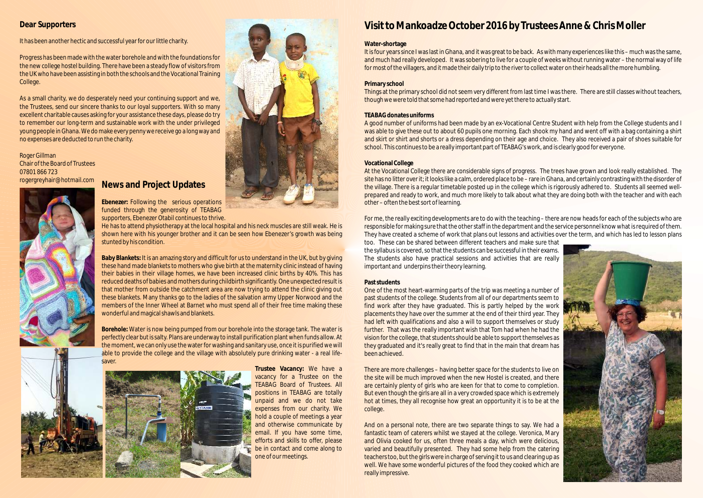### **Dear Supporters**

It has been another hectic and successful year for our little charity.

Progress has been made with the water borehole and with the foundations for the new college hostel building. There have been a steady flow of visitors from the UK who have been assisting in both the schools and the Vocational Training College.

Roger Gillman Chair of the Board of Trustees 07801 866 723 rogergreyhair@hotmail.com



As a small charity, we do desperately need your continuing support and we, the Trustees, send our sincere thanks to our loyal supporters. With so many excellent charitable causes asking for your assistance these days, please do try to remember our long-term and sustainable work with the under privileged young people in Ghana. We do make every penny we receive go a long way and no expenses are deducted to run the charity.

# **Visit to Mankoadze October 2016 by Trustees Anne & Chris Moller**

#### **Water-shortage**

It is four years since I was last in Ghana, and it was great to be back. As with many experiences like this – much was the same, and much had really developed. It was sobering to live for a couple of weeks without running water – the normal way of life for most of the villagers, and it made their daily trip to the river to collect water on their heads all the more humbling.

At the Vocational College there are considerable signs of progress. The trees have grown and look really established. The site has no litter over it; it looks like a calm, ordered place to be – rare in Ghana, and certainly contrasting with the disorder of the village. There is a regular timetable posted up in the college which is rigorously adhered to. Students all seemed wellprepared and ready to work, and much more likely to talk about what they are doing both with the teacher and with each other – often the best sort of learning.

#### **Primary school**

Things at the primary school did not seem very different from last time I was there. There are still classes without teachers, though wewere told that some had reported and were yet there to actually start.

#### **TEABAG donates uniforms**

A good number of uniforms had been made by an ex-Vocational Centre Student with help from the College students and I was able to give these out to about 60 pupils one morning. Each shook my hand and went off with a bag containing a shirt and skirt or shirt and shorts or a dress depending on their age and choice. They also received a pair of shoes suitable for school. This continues to be a really important part of TEABAG's work, and is clearly good for everyone.

#### **Vocational College**

For me, the really exciting developments are to do with the teaching – there are now heads for each of the subjects who are responsible for making sure that the other staff in the department and the service personnel know what is required of them. They have created a scheme of work that plans out lessons and activities over the term, and which has led to lesson plans too. These can be shared between different teachers and make sure that the syllabus is covered, so that the students can be successful in their exams. The students also have practical sessions and activities that are really important and underpins their theory learning.

#### **Past students**

One of the most heart-warming parts of the trip was meeting a number of past students of the college. Students from all of our departments seem to find work after they have graduated. This is partly helped by the work placements they have over the summer at the end of their third year. They had left with qualifications and also a will to support themselves or study further. That was the really important wish that Tom had when he had the vision for the college, that students should be able to support themselves as they graduated and it's really great to find that in the main that dream has been achieved.

There are more challenges – having better space for the students to live on the site will be much improved when the new Hostel is created, and there are certainly plenty of girls who are keen for that to come to completion. But even though the girls are all in a very crowded space which is extremely hot at times, they all recognise how great an opportunity it is to be at the college.

And on a personal note, there are two separate things to say. We had a fantastic team of caterers whilst we stayed at the college. Veronica, Mary and Olivia cooked for us, often three meals a day, which were delicious, varied and beautifully presented. They had some help from the catering teachers too, but the girls were in chargeof serving it to us and clearing up as well. We have some wonderful pictures of the food they cooked which are really impressive.





# **News and Project Updates**

**Ebenezer:** Following the serious operations funded through the generosity of TEABAG supporters, Ebenezer Otabil continues to thrive.

He has to attend physiotherapy at the local hospital and his neck muscles are still weak. He is shown here with his younger brother and it can be seen how Ebenezer's growth was being stunted by his condition.

**Baby Blankets:** It is an amazing story and difficult for us to understand in the UK, but by giving these hand made blankets to mothers who give birth at the maternity clinic instead of having their babies in their village homes, we have been increased clinic births by 40%. This has reduced deaths of babies and mothers during childbirth significantly. One unexpected result is that mother from outside the catchment area are now trying to attend the clinic giving out these blankets. Many thanks go to the ladies of the salvation army Upper Norwood and the members of the Inner Wheel at Barnet who must spend all of their free time making these wonderful and magical shawls and blankets.

**Borehole:** Water is now being pumped from our borehole into the storage tank. The water is perfectly clear but is salty. Plans are underway to install purification plant when funds allow. At the moment, we can only use the water for washing and sanitary use, once it is purified wewill able to provide the college and the village with absolutely pure drinking water - a real lifesaver.





**Trustee Vacancy:** We have a vacancy for a Trustee on the TEABAG Board of Trustees. All positions in TEABAG are totally unpaid and we do not take expenses from our charity. We hold a couple of meetings a year and otherwise communicate by email. If you have some time, efforts and skills to offer, please be in contact and come along to one of our meetings.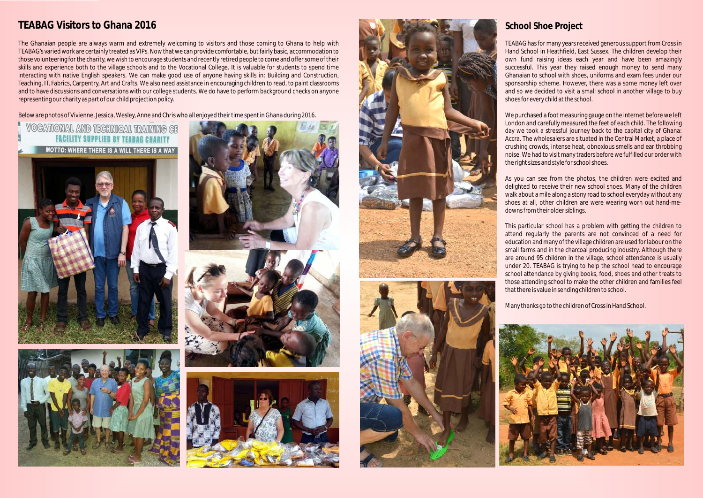# **TEABAG Visitors to Ghana 2016**

The Ghanaian people are always warm and extremely welcoming to visitors and those coming to Ghana to help with TEABAG's varied work are certainly treated as VIPs. Now that we can provide comfortable, but fairly basic, accommodation to those volunteering for the charity, wewish to encourage students and recently retired people to come and offer some of their skills and experience both to the village schools and to the Vocational College. It is valuable for students to spend time interacting with native English speakers. We can make good use of anyone having skills in: Building and Construction, Teaching, IT, Fabrics, Carpentry, Art and Crafts. We also need assistance in encouraging children to read, to paint classrooms and to have discussions and conversations with our college students. We do have to perform background checks on anyone representing our charity as part of our child projection policy.

Below are photos of Vivienne, Jessica, Wesley, Anne and Chris who all enjoyed their time spent in Ghana during 2016.

# **VOCATIONAL AND TECHNICAL TRAINING CE FACILITY SUPPLIED BY TEARAG CHARITY**













## **School Shoe Project**

TEABAG has for many years received generous support from Cross in Hand School in Heathfield, East Sussex. The children develop their own fund raising ideas each year and have been amazingly successful. This year they raised enough money to send many Ghanaian to school with shoes, uniforms and exam fees under our sponsorship scheme. However, there was a some money left over and so we decided to visit a small school in another village to buy shoes for every child at the school.

We purchased a foot measuring gauge on the internet before we left London and carefully measured the feet of each child. The following day we took a stressful journey back to the capital city of Ghana: Accra. The wholesalers are situated in the Central Market, a place of crushing crowds, intense heat, obnoxious smells and ear throbbing noise. We had to visit many traders before we fulfilled our order with the right sizes and style for school shoes.

As you can see from the photos, the children were excited and delighted to receive their new school shoes. Many of the children walk about a mile along a stony road to school everyday without any shoes at all, other children are were wearing worn out hand-medowns from their older siblings.



This particular school has a problem with getting the children to attend regularly the parents are not convinced of a need for education and many of the village children are used for labour on the small farms and in the charcoal producing industry. Although there are around 95 children in the village, school attendance is usually under 20. TEABAG is trying to help the school head to encourage school attendance by giving books, food, shoes and other treats to those attending school to make the other children and families feel that there is value in sending children to school.

Many thanks go to the children of Cross in Hand School.